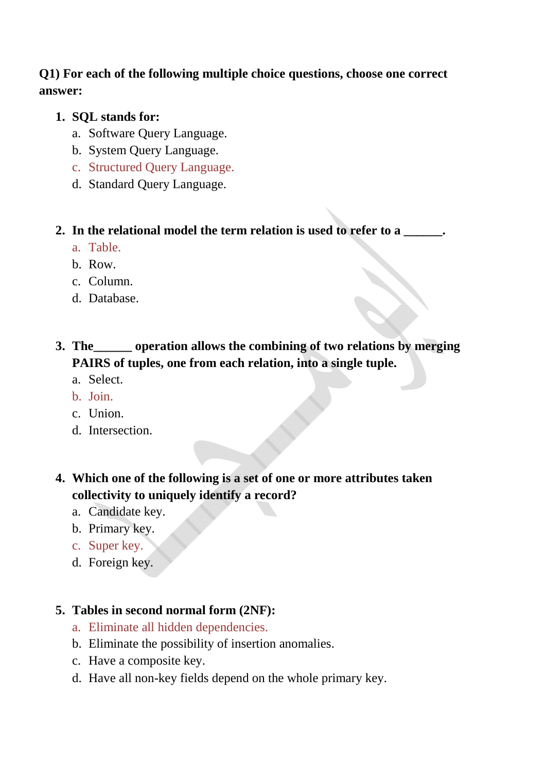### **Q1) For each of the following multiple choice questions, choose one correct answer:**

### **1. SQL stands for:**

- a. Software Query Language.
- b. System Query Language.
- c. Structured Query Language.
- d. Standard Query Language.

#### **2. In the relational model the term relation is used to refer to a \_\_\_\_\_\_.**

- a. Table.
- b. Row.
- c. Column.
- d. Database.

# **3. The\_\_\_\_\_\_ operation allows the combining of two relations by merging PAIRS of tuples, one from each relation, into a single tuple.**

- a. Select.
- b. Join.
- c. Union.
- d. Intersection.
- **4. Which one of the following is a set of one or more attributes taken collectivity to uniquely identify a record?**
	- a. Candidate key.
	- b. Primary key.
	- c. Super key.
	- d. Foreign key.

### **5. Tables in second normal form (2NF):**

- a. Eliminate all hidden dependencies.
- b. Eliminate the possibility of insertion anomalies.
- c. Have a composite key.
- d. Have all non-key fields depend on the whole primary key.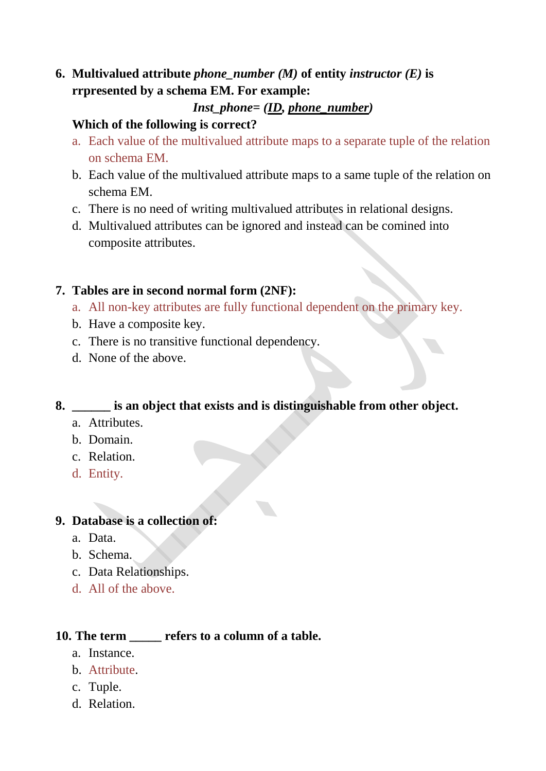**6.** Multivalued attribute *phone\_number (M)* of entity *instructor (E)* is **rrpresented by a schema EM. For example:**

### *Inst\_phone= (ID, phone\_number)*

#### **Which of the following is correct?**

- a. Each value of the multivalued attribute maps to a separate tuple of the relation on schema EM.
- b. Each value of the multivalued attribute maps to a same tuple of the relation on schema EM.
- c. There is no need of writing multivalued attributes in relational designs.
- d. Multivalued attributes can be ignored and instead can be comined into composite attributes.

#### **7. Tables are in second normal form (2NF):**

- a. All non-key attributes are fully functional dependent on the primary key.
- b. Have a composite key.
- c. There is no transitive functional dependency.
- d. None of the above.

### **8. \_\_\_\_\_\_ is an object that exists and is distinguishable from other object.**

- a. Attributes.
- b. Domain.
- c. Relation.
- d. Entity.

### **9. Database is a collection of:**

- a. Data.
- b. Schema.
- c. Data Relationships.
- d. All of the above.

### **10. The term \_\_\_\_\_ refers to a column of a table.**

- a. Instance.
- b. Attribute.
- c. Tuple.
- d. Relation.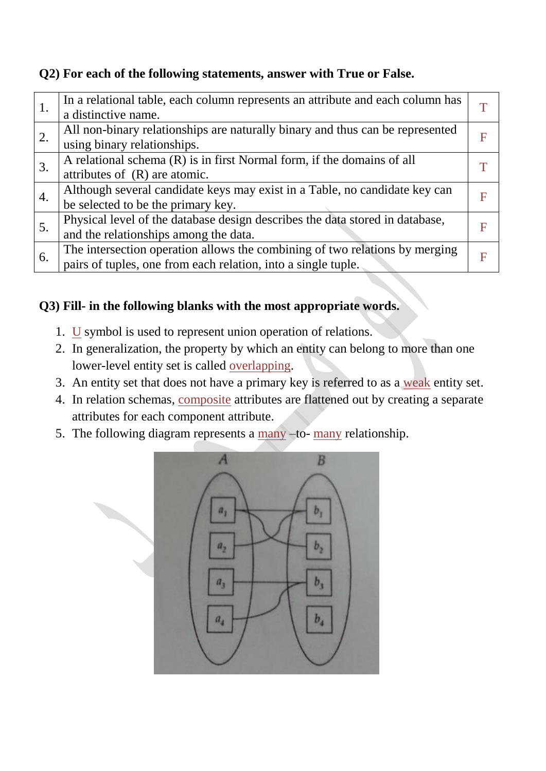### **Q2) For each of the following statements, answer with True or False.**

| 1. | In a relational table, each column represents an attribute and each column has |   |
|----|--------------------------------------------------------------------------------|---|
|    | a distinctive name.                                                            |   |
| 2. | All non-binary relationships are naturally binary and thus can be represented  | F |
|    | using binary relationships.                                                    |   |
| 3. | A relational schema (R) is in first Normal form, if the domains of all         |   |
|    | attributes of $(R)$ are atomic.                                                |   |
| 4. | Although several candidate keys may exist in a Table, no candidate key can     | F |
|    | be selected to be the primary key.                                             |   |
| 5. | Physical level of the database design describes the data stored in database,   | F |
|    | and the relationships among the data.                                          |   |
| 6. | The intersection operation allows the combining of two relations by merging    | F |
|    | pairs of tuples, one from each relation, into a single tuple.                  |   |
|    |                                                                                |   |

# **Q3) Fill- in the following blanks with the most appropriate words.**

- 1.  $\underline{U}$  symbol is used to represent union operation of relations.
- 2. In generalization, the property by which an entity can belong to more than one lower-level entity set is called overlapping.
- 3. An entity set that does not have a primary key is referred to as a weak entity set.
- 4. In relation schemas, composite attributes are flattened out by creating a separate attributes for each component attribute.
- 5. The following diagram represents a many –to- many relationship.

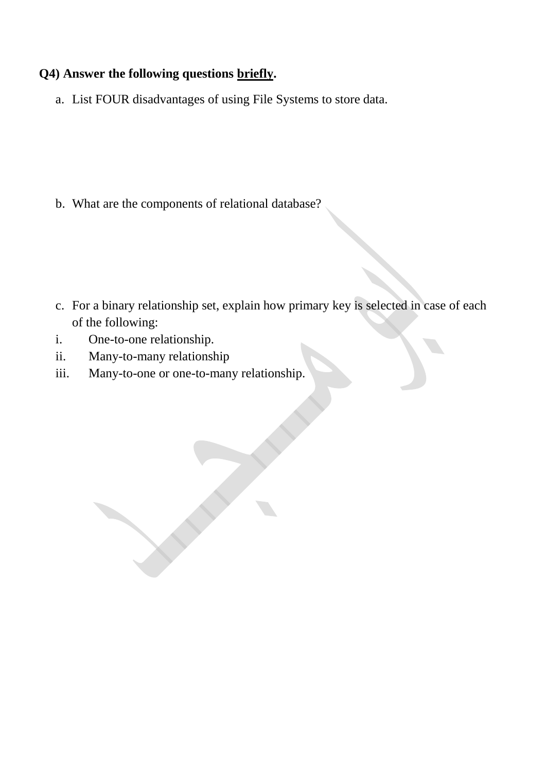### **Q4) Answer the following questions briefly.**

a. List FOUR disadvantages of using File Systems to store data.

b. What are the components of relational database?

- c. For a binary relationship set, explain how primary key is selected in case of each of the following:
- i. One-to-one relationship.
- ii. Many-to-many relationship
- iii. Many-to-one or one-to-many relationship.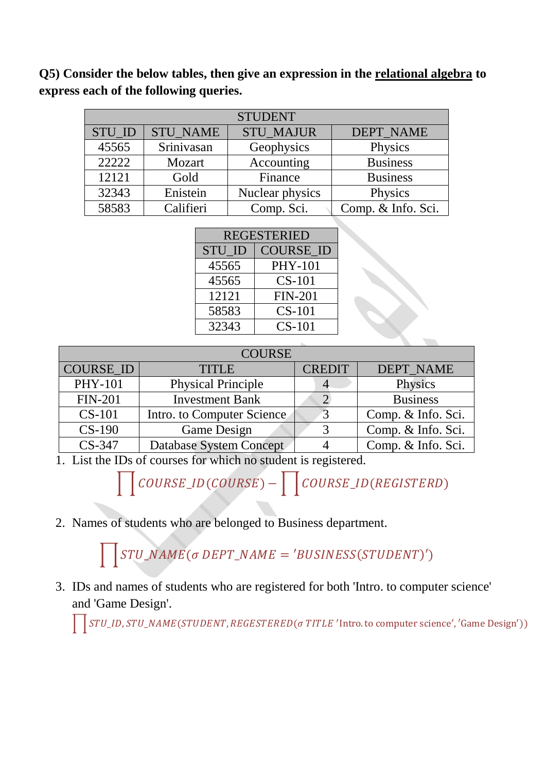**Q5) Consider the below tables, then give an expression in the relational algebra to express each of the following queries.**

| <b>STUDENT</b> |                 |                  |                    |  |  |  |  |
|----------------|-----------------|------------------|--------------------|--|--|--|--|
| STU_ID         | <b>STU NAME</b> | <b>STU MAJUR</b> | <b>DEPT NAME</b>   |  |  |  |  |
| 45565          | Srinivasan      | Geophysics       | Physics            |  |  |  |  |
| 22222          | Mozart          | Accounting       | <b>Business</b>    |  |  |  |  |
| 12121          | Gold            | Finance          | <b>Business</b>    |  |  |  |  |
| 32343          | Enistein        | Nuclear physics  | Physics            |  |  |  |  |
| 58583          | Califieri       | Comp. Sci.       | Comp. & Info. Sci. |  |  |  |  |

| <b>REGESTERIED</b> |                  |  |  |  |  |
|--------------------|------------------|--|--|--|--|
| <b>STU ID</b>      | <b>COURSE ID</b> |  |  |  |  |
| 45565              | <b>PHY-101</b>   |  |  |  |  |
| 45565              | <b>CS-101</b>    |  |  |  |  |
| 12121              | <b>FIN-201</b>   |  |  |  |  |
| 58583              | $CS-101$         |  |  |  |  |
| 32343              | $CS-101$         |  |  |  |  |

 $\mathcal{S}$ 

| <b>COURSE</b>                          |                               |  |                    |  |  |  |  |  |
|----------------------------------------|-------------------------------|--|--------------------|--|--|--|--|--|
| <b>COURSE_ID</b>                       | <b>CREDIT</b><br><b>TITLE</b> |  | <b>DEPT_NAME</b>   |  |  |  |  |  |
| <b>PHY-101</b>                         | <b>Physical Principle</b>     |  | Physics            |  |  |  |  |  |
| <b>FIN-201</b>                         | <b>Investment Bank</b>        |  | <b>Business</b>    |  |  |  |  |  |
| $CS-101$<br>Intro. to Computer Science |                               |  | Comp. & Info. Sci. |  |  |  |  |  |
| $CS-190$                               | Game Design                   |  | Comp. & Info. Sci. |  |  |  |  |  |
| $CS-347$                               | Database System Concept       |  | Comp. & Info. Sci. |  |  |  |  |  |

1. List the IDs of courses for which no student is registered.

 $\begin{array}{|c|c|} \hline \rule{0mm}{3mm} \end{array} \begin{array}{ll} \hline \rule{0mm}{3mm} \end{array} \begin{array}{ll} \hline \rule{0mm}{3mm} \end{array} \begin{array}{ll} \hline \rule{0mm}{3mm} \end{array} \begin{array}{ll} \hline \rule{0mm}{3mm} \end{array} \begin{array}{ll} \hline \rule{0mm}{3mm} \end{array} \begin{array}{ll} \hline \rule{0mm}{3mm} \end{array} \begin{array}{ll} \hline \rule{0mm}{3mm} \end{array} \begin{array}{ll} \hline \rule{0mm}{3mm} \end{array}$ 

2. Names of students who are belonged to Business department.

 $\prod STU\_NAME(\sigma\, DEPT\_NAME = 'BUSINESS(STUDENT)')$ 

3. IDs and names of students who are registered for both 'Intro. to computer science' and 'Game Design'.

STU\_ID, STU\_NAME (STUDENT, REGESTERED ( $\sigma$  TITLE 'Intro. to computer science', 'Game Design')